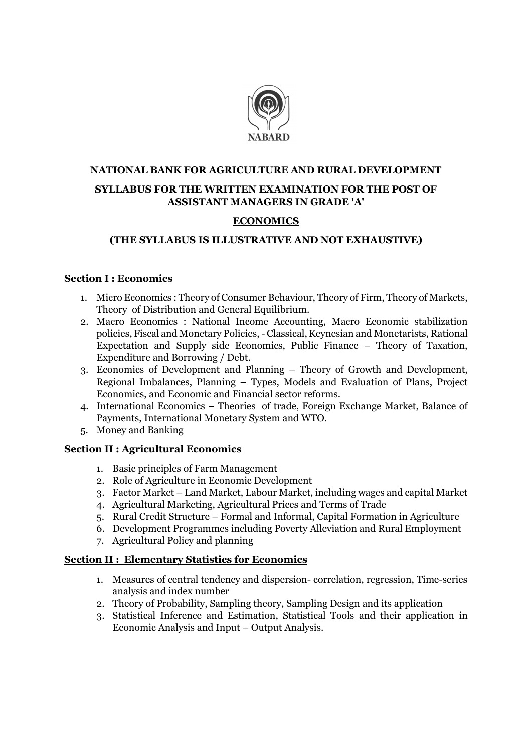

# NATIONAL BANK FOR AGRICULTURE AND RURAL DEVELOPMENT

### SYLLABUS FOR THE WRITTEN EXAMINATION FOR THE POST OF ASSISTANT MANAGERS IN GRADE 'A'

## ECONOMICS

## (THE SYLLABUS IS ILLUSTRATIVE AND NOT EXHAUSTIVE)

### Section I : Economics

- 1. Micro Economics : Theory of Consumer Behaviour, Theory of Firm, Theory of Markets, Theory of Distribution and General Equilibrium.
- 2. Macro Economics : National Income Accounting, Macro Economic stabilization policies, Fiscal and Monetary Policies, - Classical, Keynesian and Monetarists, Rational Expectation and Supply side Economics, Public Finance – Theory of Taxation, Expenditure and Borrowing / Debt.
- 3. Economics of Development and Planning Theory of Growth and Development, Regional Imbalances, Planning – Types, Models and Evaluation of Plans, Project Economics, and Economic and Financial sector reforms.
- 4. International Economics Theories of trade, Foreign Exchange Market, Balance of Payments, International Monetary System and WTO.
- 5. Money and Banking

### Section II : Agricultural Economics

- 1. Basic principles of Farm Management
- 2. Role of Agriculture in Economic Development
- 3. Factor Market Land Market, Labour Market, including wages and capital Market
- 4. Agricultural Marketing, Agricultural Prices and Terms of Trade
- 5. Rural Credit Structure Formal and Informal, Capital Formation in Agriculture
- 6. Development Programmes including Poverty Alleviation and Rural Employment
- 7. Agricultural Policy and planning

#### Section II : Elementary Statistics for Economics

- 1. Measures of central tendency and dispersion- correlation, regression, Time-series analysis and index number
- 2. Theory of Probability, Sampling theory, Sampling Design and its application
- 3. Statistical Inference and Estimation, Statistical Tools and their application in Economic Analysis and Input – Output Analysis.